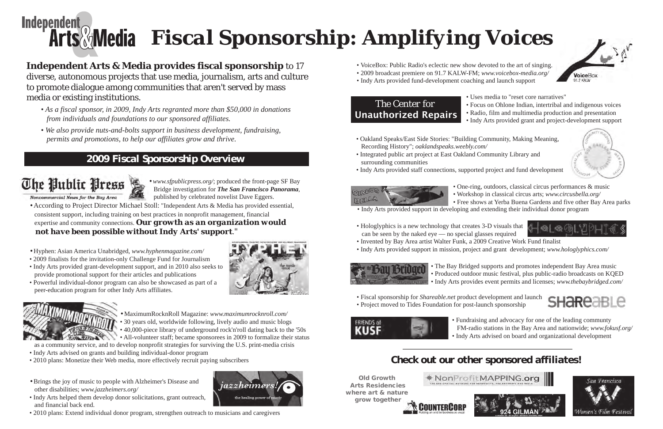# **Independent** *Fiscal Sponsorship: Amplifying Voices*

- VoiceBox: Public Radio's eclectic new show devoted to the art of singing.
- 2009 broadcast premiere on 91.7 KALW-FM; *www.voicebox-media.org/*
- Indy Arts provided fund-development coaching and launch support

### *The Center for*  **Unauthorized Repairs**

• Uses media to "reset core narratives"

• Focus on Ohlone Indian, intertribal and indigenous voices • Radio, film and multimedia production and presentation • Indy Arts provided grant and project-development support



- 
- 
- 
- Oakland Speaks/East Side Stories: "Building Community, Making Meaning, Recording History"; *oaklandspeaks.weebly.com/*
- Integrated public art project at East Oakland Community Library and surrounding communities
- Indy Arts provided staff connections, supported project and fund development



• One-ring, outdoors, classical circus performances & music • Workshop in classical circus arts; *www.circusbella.org/* • Free shows at Yerba Buena Gardens and five other Bay Area parks



- 
- Indy Arts provided support in developing and extending their individual donor program
- Hologlyphics is a new technology that creates 3-D visuals that can be seen by the naked eye — no special glasses required
- Invented by Bay Area artist Walter Funk, a 2009 Creative Work Fund finalist
- Indy Arts provided support in mission, project and grant development; *www.hologlyphics.com/*



• The Bay Bridged supports and promotes independent Bay Area music • Produced outdoor music festival, plus public-radio broadcasts on KQED • Indy Arts provides event permits and licenses; *www.thebaybridged.com/*



- 
- Fiscal sponsorship for *Shareable.net* product development and launch
- Project moved to Tides Foundation for post-launch sponsorship



• Fundraising and advocacy for one of the leading communty FM-radio stations in the Bay Area and nationwide; *www.fokusf.org/* • Indy Arts advised on board and organizational development



### *Check out our other sponsored affiliates!*

Old Growth Arts Residencies where art & nature grow together







jazzheimers





### **Independent Arts & Media provides fiscal sponsorship** to 17 diverse, autonomous projects that use media, journalism, arts and culture to promote dialogue among communities that aren't served by mass media or existing institutions.

- Hyphen: Asian America Unabridged, *www.hyphenmagazine.com/*
- 2009 finalists for the invitation-only Challenge Fund for Journalism
- Indy Arts provided grant-development support, and in 2010 also seeks to provide promotional support for their articles and publications
- Powerful individual-donor program can also be showcased as part of a peer-education program for other Indy Arts affiliates.





• According to Project Director Michael Stoll: "Independent Arts & Media has provided essential, consistent support, including training on best practices in nonprofit management, financial expertise and community connections. *Our growth as an organization would not have been possible without Indy Arts' support*."

- *As a fiscal sponsor, in 2009, Indy Arts regranted more than \$50,000 in donations from individuals and foundations to our sponsored affiliates.*
- *We also provide nuts-and-bolts support in business development, fundraising, permits and promotions, to help our affiliates grow and thrive.*

*• www.sfpublicpress.org/*; produced the front-page SF Bay Bridge investigation for *The San Francisco Panorama*, published by celebrated novelist Dave Eggers.

• MaximumRocknRoll Magazine: *www.maximumrocknroll.com/* • 30 years old, worldwide following, lively audio and music blogs • 40,000-piece library of underground rock'n'roll dating back to the '50s • All-volunteer staff; became sponsorees in 2009 to formalize their status as a community service, and to develop nonprofit strategies for surviving the U.S. print-media crisis

- Indy Arts advised on grants and building individual-donor program
- 2010 plans: Monetize their Web media, more effectively recruit paying subscribers
- Brings the joy of music to people with Alzheimer's Disease and other disabilities; *www.jazzheimers.org/*
- Indy Arts helped them develop donor solicitations, grant outreach, and financial back end.
- 2010 plans: Extend individual donor program, strengthen outreach to musicians and caregivers

### *2009 Fiscal Sponsorship Overview*

The Public Press

Noncommercial News for the Bay Area